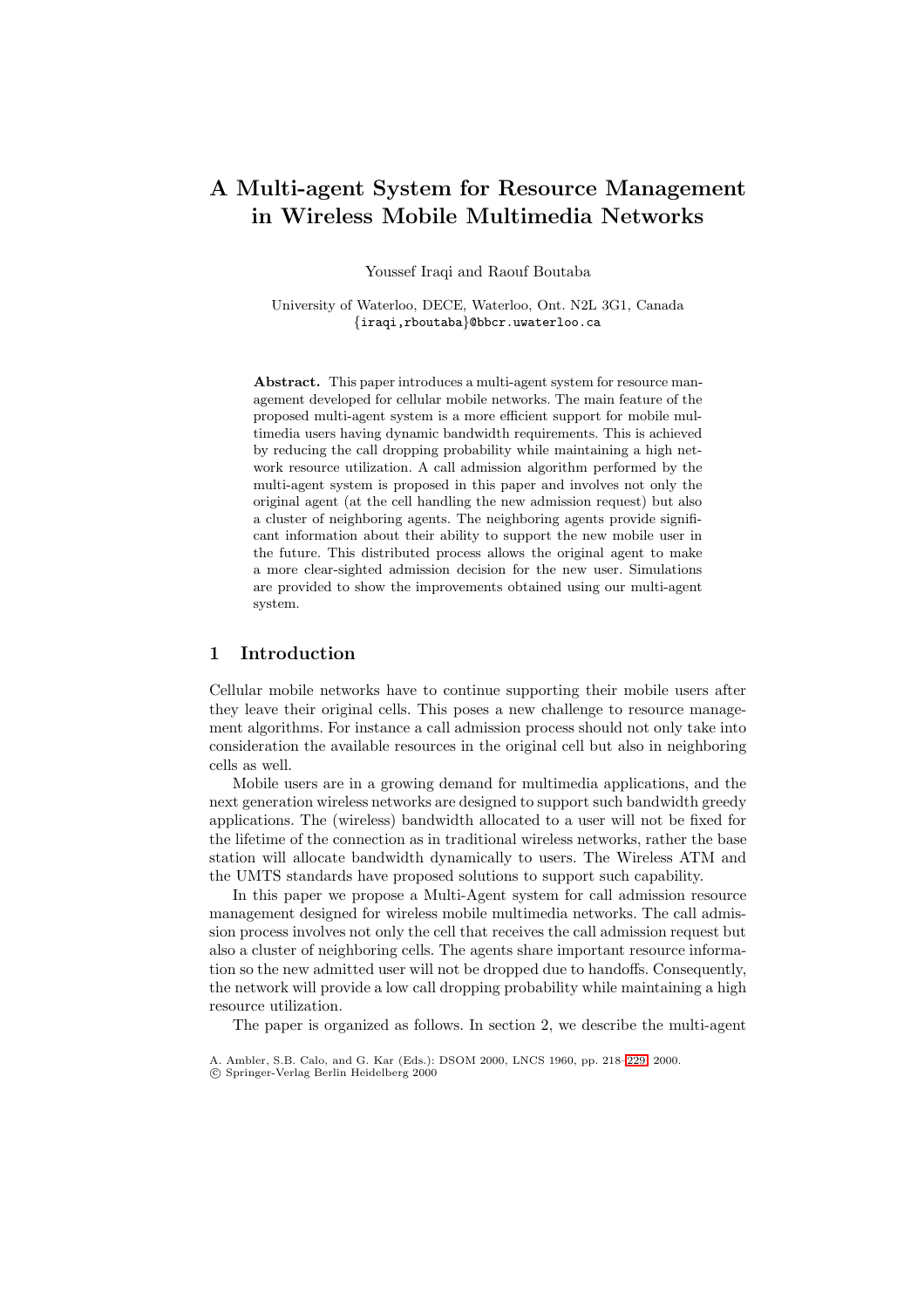# **A Multi-agent System for Resource Management in Wireless Mobile Multimedia Networks**

Youssef Iraqi and Raouf Boutaba

University of Waterloo, DECE, Waterloo, Ont. N2L 3G1, Canada *{*iraqi,rboutaba*}*@bbcr.uwaterloo.ca

**Abstract.** This paper introduces a multi-agent system for resource management developed for cellular mobile networks. The main feature of the proposed multi-agent system is a more efficient support for mobile multimedia users having dynamic bandwidth requirements. This is achieved by reducing the call dropping probability while maintaining a high network resource utilization. A call admission algorithm performed by the multi-agent system is proposed in this paper and involves not only the original agent (at the cell handling the new admission request) but also a cluster of neighboring agents. The neighboring agents provide significant information about their ability to support the new mobile user in the future. This distributed process allows the original agent to make a more clear-sighted admission decision for the new user. Simulations are provided to show the improvements obtained using our multi-agent system.

## **1 Introduction**

Cellular mobile networks have to continue supporting their mobile users after they leave their original cells. This poses a new challenge to resource management algorithms. For instance a call admission process should not only take into consideration the available resources in the original cell but also in neighboring cells as well.

Mobile users are in a growing demand for multimedia applications, and the next generation wireless networks are designed to support such bandwidth greedy applications. The (wireless) bandwidth allocated to a user will not be fixed for the lifetime of the connection as in traditional wireless networks, rather the base station will allocate bandwidth dynamically to users. The Wireless ATM and the UMTS standards have proposed solutions to support such capability.

In this paper we propose a Multi-Agent system for call admission resource management designed for wireless mobile multimedia networks. The call admission process involves not only the cell that receives the call admission request but also a cluster of neighboring cells. The agents share important resource information so the new admitted user will not be dropped due to handoffs. Consequently, the network will provide a low call dropping probability while maintaining a high resource utilization.

The paper is organized as follows. In section 2, we describe the multi-agent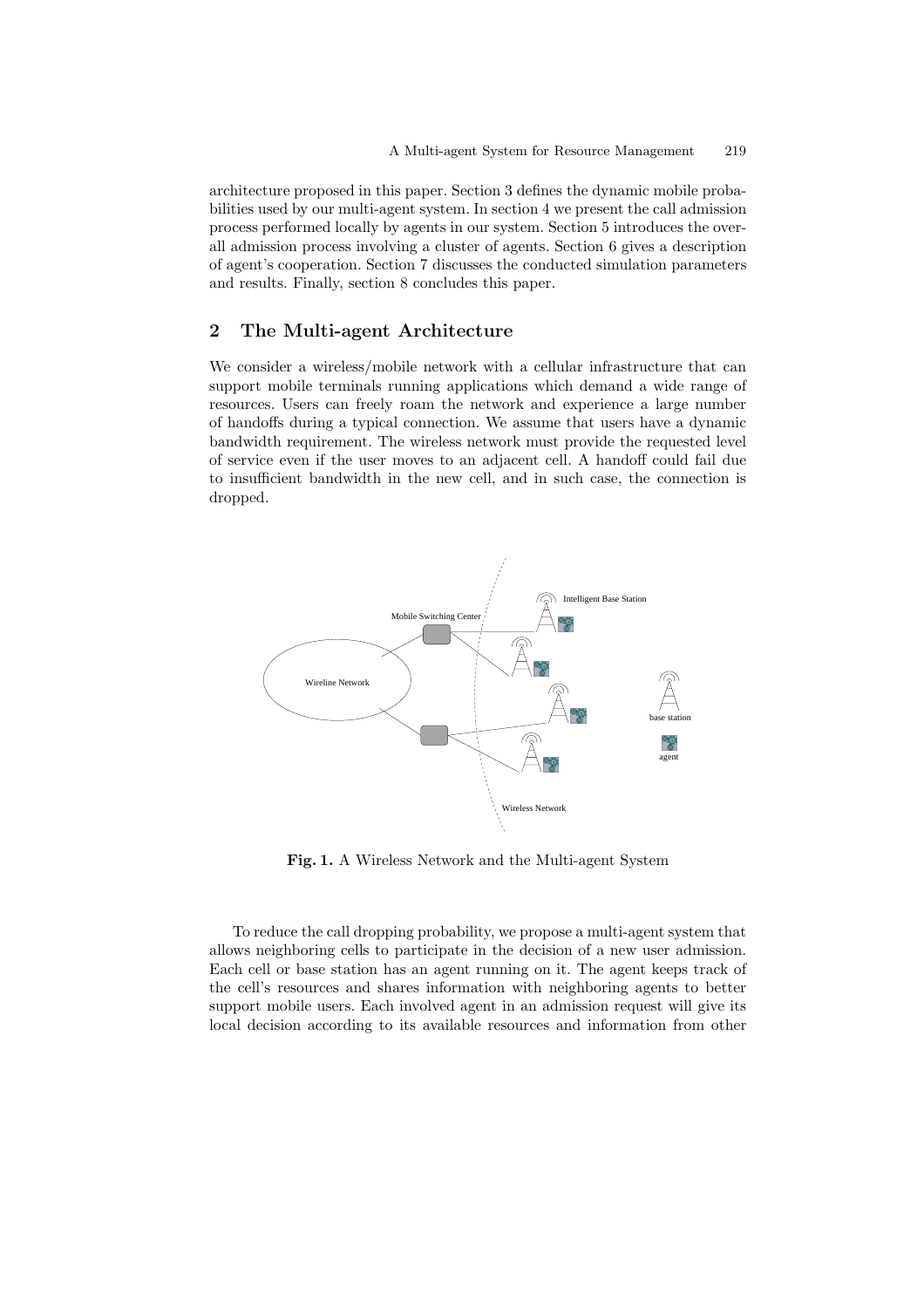architecture proposed in this paper. Section 3 defines the dynamic mobile probabilities used by our multi-agent system. In section 4 we present the call admission process performed locally by agents in our system. Section 5 introduces the overall admission process involving a cluster of agents. Section 6 gives a description of agent's cooperation. Section 7 discusses the conducted simulation parameters and results. Finally, section 8 concludes this paper.

#### **2 The Multi-agent Architecture**

We consider a wireless/mobile network with a cellular infrastructure that can support mobile terminals running applications which demand a wide range of resources. Users can freely roam the network and experience a large number of handoffs during a typical connection. We assume that users have a dynamic bandwidth requirement. The wireless network must provide the requested level of service even if the user moves to an adjacent cell. A handoff could fail due to insufficient bandwidth in the new cell, and in such case, the connection is dropped.



**Fig. 1.** A Wireless Network and the Multi-agent System

To reduce the call dropping probability, we propose a multi-agent system that allows neighboring cells to participate in the decision of a new user admission. Each cell or base station has an agent running on it. The agent keeps track of the cell's resources and shares information with neighboring agents to better support mobile users. Each involved agent in an admission request will give its local decision according to its available resources and information from other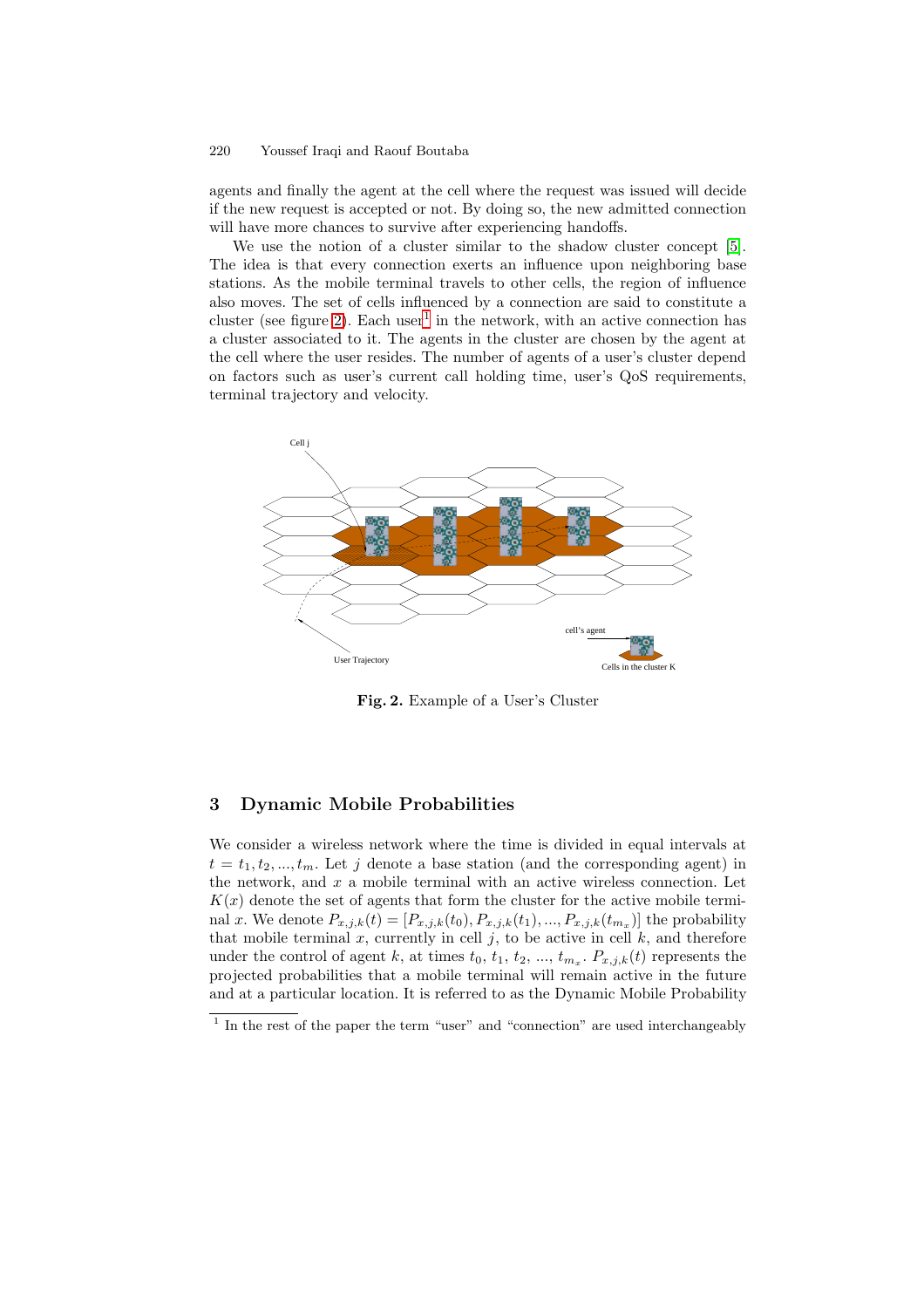agents and finally the agent at the cell where the request was issued will decide if the new request is accepted or not. By doing so, the new admitted connection will have more chances to survive after experiencing handoffs.

We use the notion of a cluster similar to the shadow cluster concept [\[5\]](#page-11-1). The idea is that every connection exerts an influence upon neighboring base stations. As the mobile terminal travels to other cells, the region of influence also moves. The set of cells influenced by a connection are said to constitute a cluster (see figure [2\)](#page-2-0). Each user<sup>[1](#page-2-1)</sup> in the network, with an active connection has a cluster associated to it. The agents in the cluster are chosen by the agent at the cell where the user resides. The number of agents of a user's cluster depend on factors such as user's current call holding time, user's QoS requirements, terminal trajectory and velocity.



<span id="page-2-0"></span>**Fig. 2.** Example of a User's Cluster

# **3 Dynamic Mobile Probabilities**

We consider a wireless network where the time is divided in equal intervals at  $t = t_1, t_2, ..., t_m$ . Let j denote a base station (and the corresponding agent) in the network, and  $x$  a mobile terminal with an active wireless connection. Let  $K(x)$  denote the set of agents that form the cluster for the active mobile terminal x. We denote  $P_{x,j,k}(t)=[P_{x,j,k}(t_0), P_{x,j,k}(t_1), ..., P_{x,j,k}(t_m)]$  the probability that mobile terminal x, currently in cell j, to be active in cell  $k$ , and therefore under the control of agent k, at times  $t_0, t_1, t_2, ..., t_{m_x}$ .  $P_{x,j,k}(t)$  represents the projected probabilities that a mobile terminal will remain active in the future and at a particular location. It is referred to as the Dynamic Mobile Probability

<span id="page-2-1"></span> $1$  In the rest of the paper the term "user" and "connection" are used interchangeably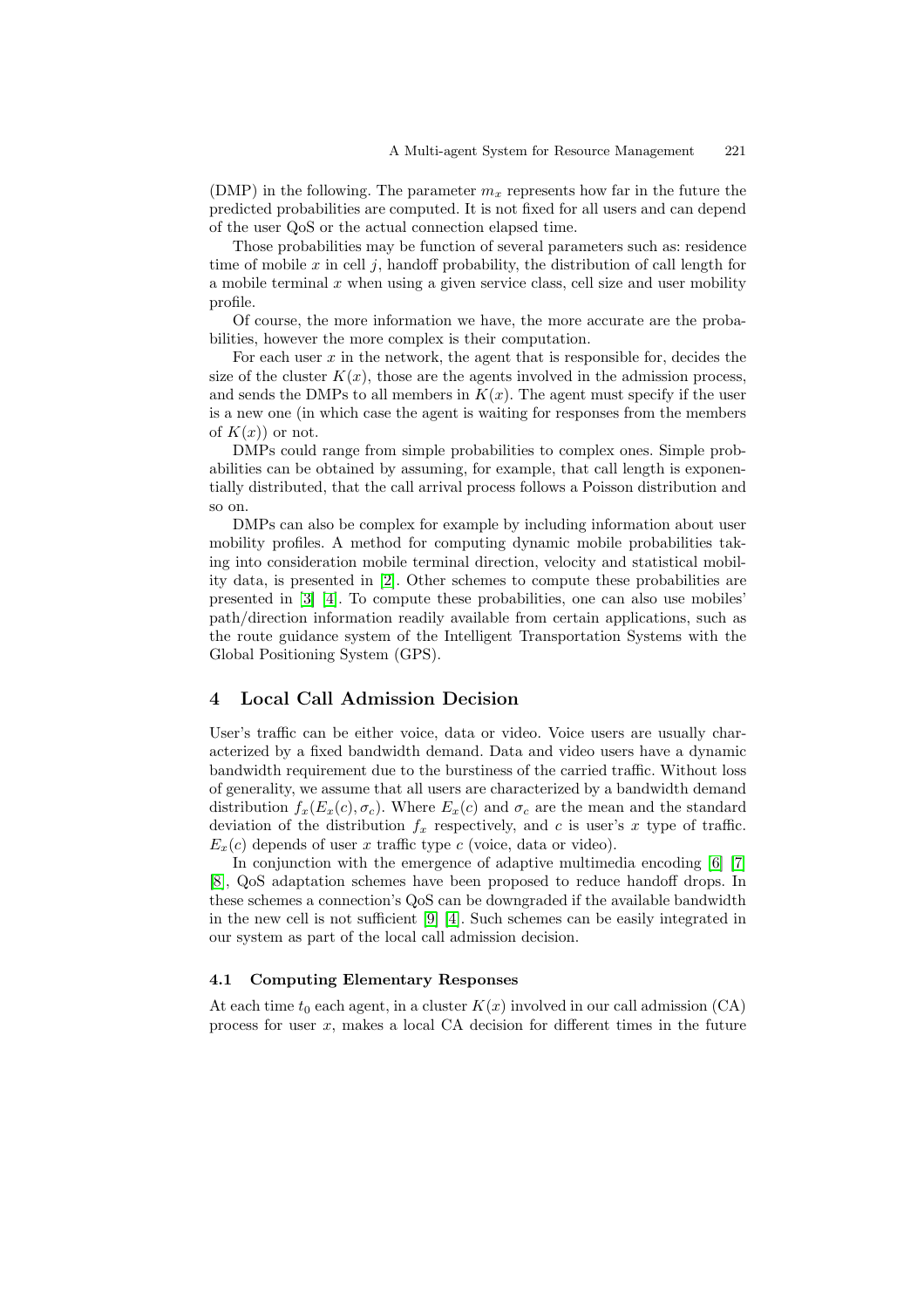(DMP) in the following. The parameter  $m_x$  represents how far in the future the predicted probabilities are computed. It is not fixed for all users and can depend of the user QoS or the actual connection elapsed time.

Those probabilities may be function of several parameters such as: residence time of mobile  $x$  in cell  $j$ , handoff probability, the distribution of call length for a mobile terminal  $x$  when using a given service class, cell size and user mobility profile.

Of course, the more information we have, the more accurate are the probabilities, however the more complex is their computation.

For each user  $x$  in the network, the agent that is responsible for, decides the size of the cluster  $K(x)$ , those are the agents involved in the admission process, and sends the DMPs to all members in  $K(x)$ . The agent must specify if the user is a new one (in which case the agent is waiting for responses from the members of  $K(x)$  or not.

DMPs could range from simple probabilities to complex ones. Simple probabilities can be obtained by assuming, for example, that call length is exponentially distributed, that the call arrival process follows a Poisson distribution and so on.

DMPs can also be complex for example by including information about user mobility profiles. A method for computing dynamic mobile probabilities taking into consideration mobile terminal direction, velocity and statistical mobility data, is presented in [\[2\]](#page-10-0). Other schemes to compute these probabilities are presented in [\[3\]](#page-10-1) [\[4\]](#page-11-2). To compute these probabilities, one can also use mobiles' path/direction information readily available from certain applications, such as the route guidance system of the Intelligent Transportation Systems with the Global Positioning System (GPS).

# **4 Local Call Admission Decision**

User's traffic can be either voice, data or video. Voice users are usually characterized by a fixed bandwidth demand. Data and video users have a dynamic bandwidth requirement due to the burstiness of the carried traffic. Without loss of generality, we assume that all users are characterized by a bandwidth demand distribution  $f_x(E_x(c), \sigma_c)$ . Where  $E_x(c)$  and  $\sigma_c$  are the mean and the standard deviation of the distribution  $f_x$  respectively, and c is user's x type of traffic.  $E_x(c)$  depends of user x traffic type c (voice, data or video).

In conjunction with the emergence of adaptive multimedia encoding  $|6|$  |7| [\[8\]](#page-11-5), QoS adaptation schemes have been proposed to reduce handoff drops. In these schemes a connection's QoS can be downgraded if the available bandwidth in the new cell is not sufficient  $[9]$  [\[4\]](#page-11-2). Such schemes can be easily integrated in our system as part of the local call admission decision.

#### <span id="page-3-0"></span>**4.1 Computing Elementary Responses**

At each time  $t_0$  each agent, in a cluster  $K(x)$  involved in our call admission  $(CA)$ process for user x, makes a local CA decision for different times in the future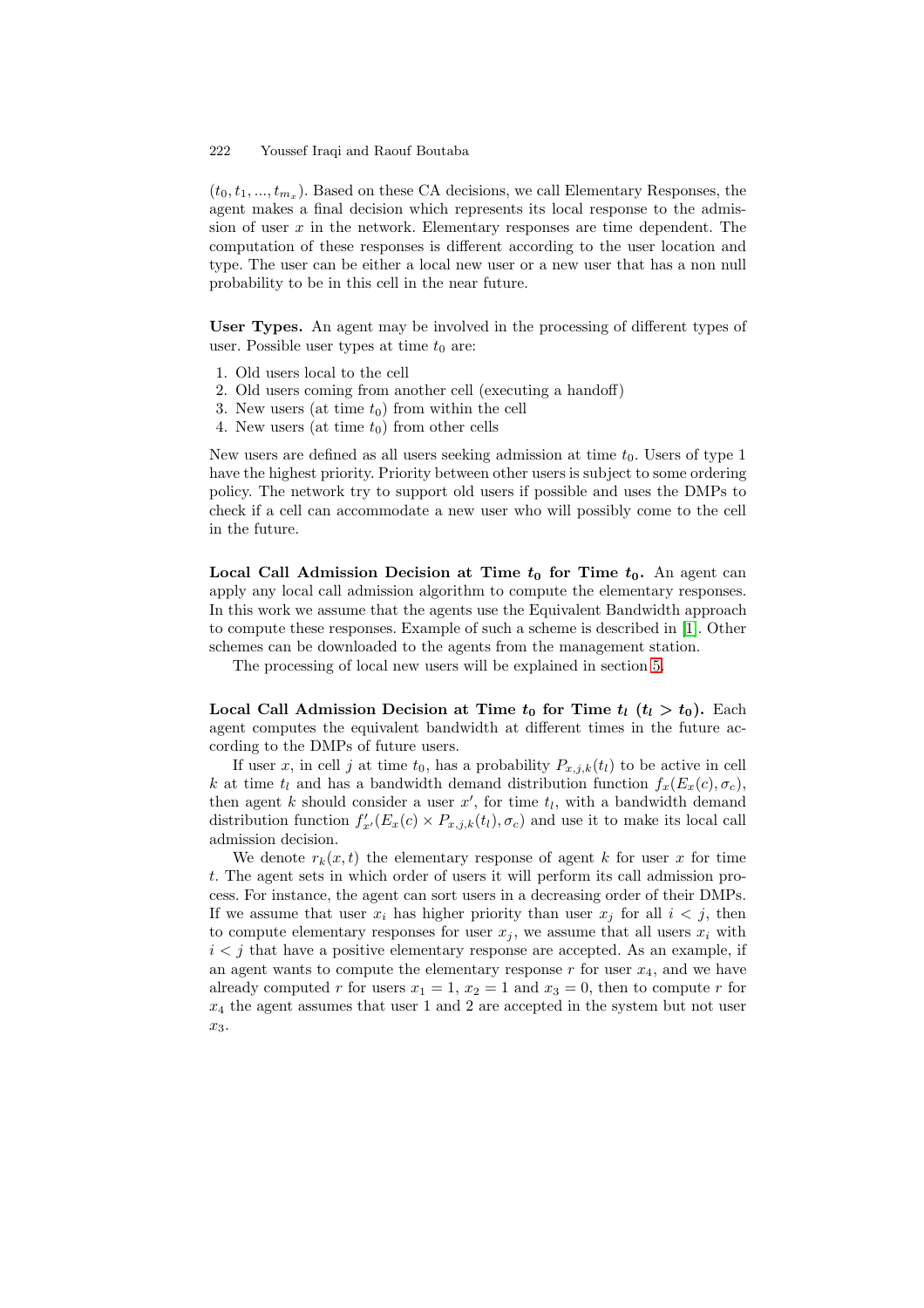$(t_0, t_1, \ldots, t_{m_x})$ . Based on these CA decisions, we call Elementary Responses, the agent makes a final decision which represents its local response to the admission of user  $x$  in the network. Elementary responses are time dependent. The computation of these responses is different according to the user location and type. The user can be either a local new user or a new user that has a non null probability to be in this cell in the near future.

**User Types.** An agent may be involved in the processing of different types of user. Possible user types at time  $t_0$  are:

- 1. Old users local to the cell
- 2. Old users coming from another cell (executing a handoff)
- 3. New users (at time  $t_0$ ) from within the cell
- 4. New users (at time  $t_0$ ) from other cells

New users are defined as all users seeking admission at time  $t_0$ . Users of type 1 have the highest priority. Priority between other users is subject to some ordering policy. The network try to support old users if possible and uses the DMPs to check if a cell can accommodate a new user who will possibly come to the cell in the future.

**Local Call Admission Decision at Time**  $t_0$  **for Time**  $t_0$ **.** An agent can apply any local call admission algorithm to compute the elementary responses. In this work we assume that the agents use the Equivalent Bandwidth approach to compute these responses. Example of such a scheme is described in [\[1\]](#page-10-2). Other schemes can be downloaded to the agents from the management station.

The processing of local new users will be explained in section [5.](#page-5-0)

**Local Call Admission Decision at Time**  $t_0$  for Time  $t_l$  ( $t_l > t_0$ ). Each agent computes the equivalent bandwidth at different times in the future according to the DMPs of future users.

If user x, in cell j at time  $t_0$ , has a probability  $P_{x,j,k}(t_l)$  to be active in cell k at time  $t_l$  and has a bandwidth demand distribution function  $f_x(E_x(c), \sigma_c)$ , then agent  $k$  should consider a user  $x'$ , for time  $t_l$ , with a bandwidth demand distribution function  $f'_{x'}(E_x(c) \times P_{x,j,k}(t_l), \sigma_c)$  and use it to make its local call admission decision.

We denote  $r_k(x, t)$  the elementary response of agent k for user x for time t. The agent sets in which order of users it will perform its call admission process. For instance, the agent can sort users in a decreasing order of their DMPs. If we assume that user  $x_i$  has higher priority than user  $x_j$  for all  $i < j$ , then to compute elementary responses for user  $x_j$ , we assume that all users  $x_i$  with  $i < j$  that have a positive elementary response are accepted. As an example, if an agent wants to compute the elementary response  $r$  for user  $x_4$ , and we have already computed r for users  $x_1 = 1$ ,  $x_2 = 1$  and  $x_3 = 0$ , then to compute r for  $x_4$  the agent assumes that user 1 and 2 are accepted in the system but not user  $x_3$ .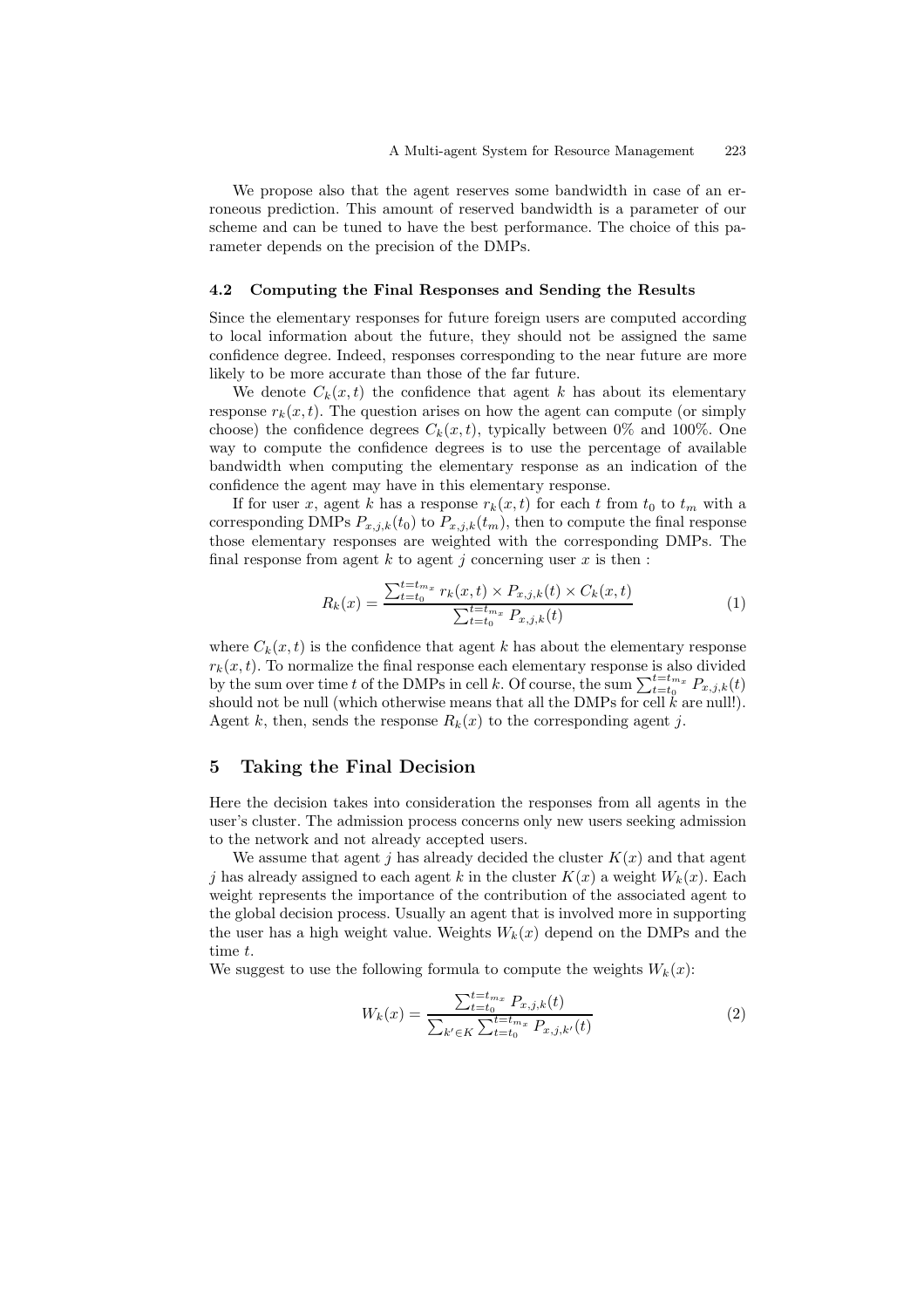We propose also that the agent reserves some bandwidth in case of an erroneous prediction. This amount of reserved bandwidth is a parameter of our scheme and can be tuned to have the best performance. The choice of this parameter depends on the precision of the DMPs.

#### **4.2 Computing the Final Responses and Sending the Results**

Since the elementary responses for future foreign users are computed according to local information about the future, they should not be assigned the same confidence degree. Indeed, responses corresponding to the near future are more likely to be more accurate than those of the far future.

We denote  $C_k(x, t)$  the confidence that agent k has about its elementary response  $r_k(x, t)$ . The question arises on how the agent can compute (or simply choose) the confidence degrees  $C_k(x, t)$ , typically between 0% and 100%. One way to compute the confidence degrees is to use the percentage of available bandwidth when computing the elementary response as an indication of the confidence the agent may have in this elementary response.

If for user x, agent k has a response  $r_k(x,t)$  for each t from  $t_0$  to  $t_m$  with a corresponding DMPs  $P_{x,j,k}(t_0)$  to  $P_{x,j,k}(t_m)$ , then to compute the final response those elementary responses are weighted with the corresponding DMPs. The final response from agent k to agent j concerning user x is then :

$$
R_k(x) = \frac{\sum_{t=t_0}^{t=t_{m_x}} r_k(x,t) \times P_{x,j,k}(t) \times C_k(x,t)}{\sum_{t=t_0}^{t=t_{m_x}} P_{x,j,k}(t)}
$$
(1)

<span id="page-5-1"></span>where  $C_k(x, t)$  is the confidence that agent k has about the elementary response  $r_k(x, t)$ . To normalize the final response each elementary response is also divided by the sum over time t of the DMPs in cell k. Of course, the sum  $\sum_{t=t_0}^{t=t_{m_x}} P_{x,j,k}(t)$ should not be null (which otherwise means that all the DMPs for cell  $\hat{k}$  are null!). Agent k, then, sends the response  $R_k(x)$  to the corresponding agent j.

#### <span id="page-5-0"></span>**5 Taking the Final Decision**

Here the decision takes into consideration the responses from all agents in the user's cluster. The admission process concerns only new users seeking admission to the network and not already accepted users.

We assume that agent j has already decided the cluster  $K(x)$  and that agent j has already assigned to each agent k in the cluster  $K(x)$  a weight  $W_k(x)$ . Each weight represents the importance of the contribution of the associated agent to the global decision process. Usually an agent that is involved more in supporting the user has a high weight value. Weights  $W_k(x)$  depend on the DMPs and the time t.

<span id="page-5-2"></span>We suggest to use the following formula to compute the weights  $W_k(x)$ :

$$
W_k(x) = \frac{\sum_{t=t_0}^{t=t_{m_x}} P_{x,j,k}(t)}{\sum_{k' \in K} \sum_{t=t_0}^{t=t_{m_x}} P_{x,j,k'}(t)}
$$
(2)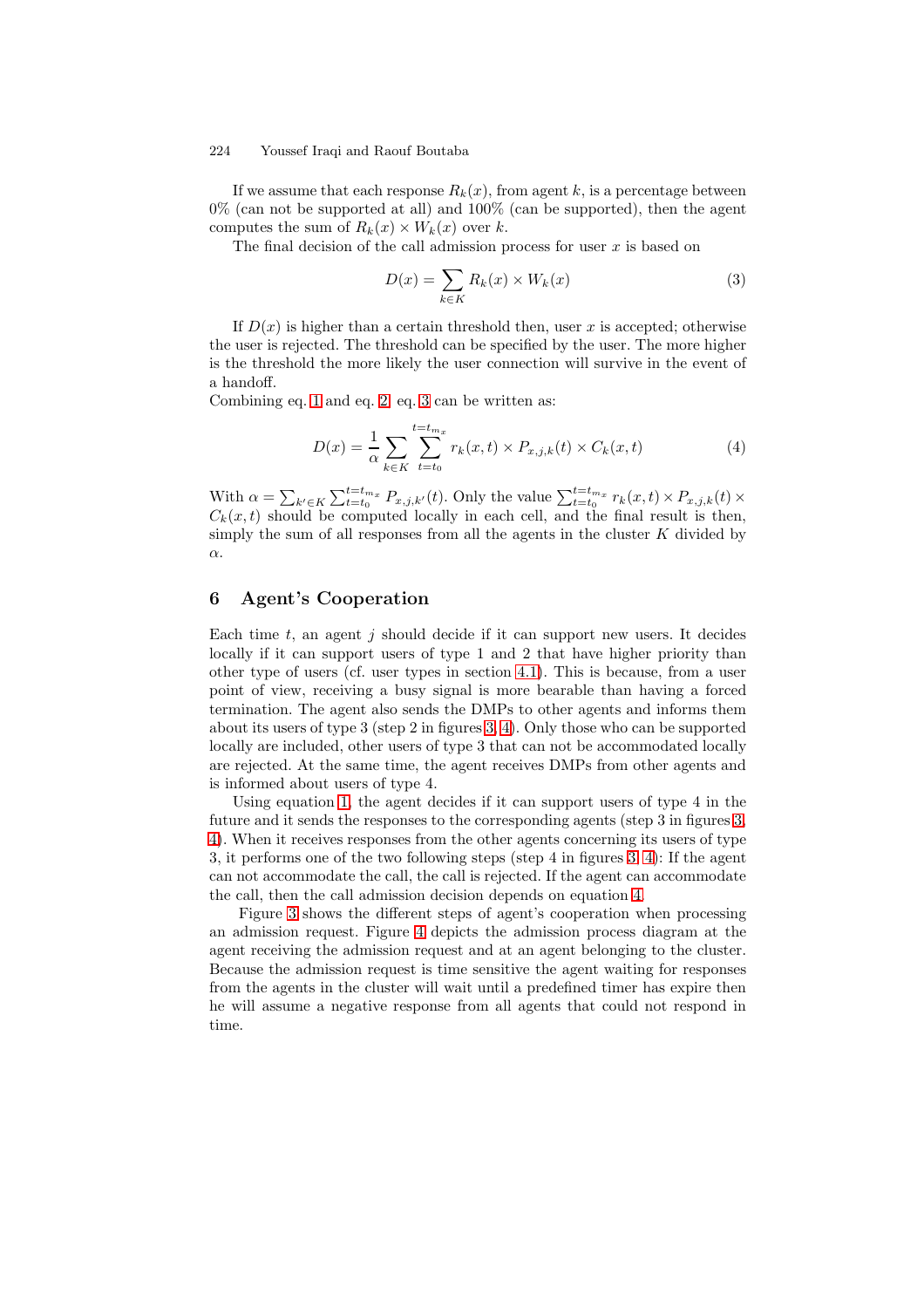If we assume that each response  $R_k(x)$ , from agent k, is a percentage between  $0\%$  (can not be supported at all) and  $100\%$  (can be supported), then the agent computes the sum of  $R_k(x) \times W_k(x)$  over k.

<span id="page-6-0"></span>The final decision of the call admission process for user  $x$  is based on

$$
D(x) = \sum_{k \in K} R_k(x) \times W_k(x) \tag{3}
$$

If  $D(x)$  is higher than a certain threshold then, user x is accepted; otherwise the user is rejected. The threshold can be specified by the user. The more higher is the threshold the more likely the user connection will survive in the event of a handoff.

<span id="page-6-1"></span>Combining eq. [1](#page-5-1) and eq. [2,](#page-5-2) eq. [3](#page-6-0) can be written as:

$$
D(x) = \frac{1}{\alpha} \sum_{k \in K} \sum_{t=t_0}^{t=t_{m_x}} r_k(x, t) \times P_{x, j, k}(t) \times C_k(x, t)
$$
 (4)

With  $\alpha = \sum_{k' \in K} \sum_{t=t_0}^{t=t_{m_x}} P_{x,j,k'}(t)$ . Only the value  $\sum_{t=t_0}^{t=t_{m_x}} r_k(x,t) \times P_{x,j,k}(t) \times$  $C_k(x, t)$  should be computed locally in each cell, and the final result is then, simply the sum of all responses from all the agents in the cluster  $K$  divided by α.

#### **6 Agent's Cooperation**

Each time  $t$ , an agent j should decide if it can support new users. It decides locally if it can support users of type 1 and 2 that have higher priority than other type of users (cf. user types in section [4.1\)](#page-3-0). This is because, from a user point of view, receiving a busy signal is more bearable than having a forced termination. The agent also sends the DMPs to other agents and informs them about its users of type 3 (step 2 in figures [3,](#page-7-0) [4\)](#page-7-1). Only those who can be supported locally are included, other users of type 3 that can not be accommodated locally are rejected. At the same time, the agent receives DMPs from other agents and is informed about users of type 4.

Using equation [1,](#page-5-1) the agent decides if it can support users of type 4 in the future and it sends the responses to the corresponding agents (step 3 in figures [3,](#page-7-0) [4\)](#page-7-1). When it receives responses from the other agents concerning its users of type 3, it performs one of the two following steps (step 4 in figures [3,](#page-7-0) [4\)](#page-7-1): If the agent can not accommodate the call, the call is rejected. If the agent can accommodate the call, then the call admission decision depends on equation [4.](#page-6-1)

Figure [3](#page-7-0) shows the different steps of agent's cooperation when processing an admission request. Figure [4](#page-7-1) depicts the admission process diagram at the agent receiving the admission request and at an agent belonging to the cluster. Because the admission request is time sensitive the agent waiting for responses from the agents in the cluster will wait until a predefined timer has expire then he will assume a negative response from all agents that could not respond in time.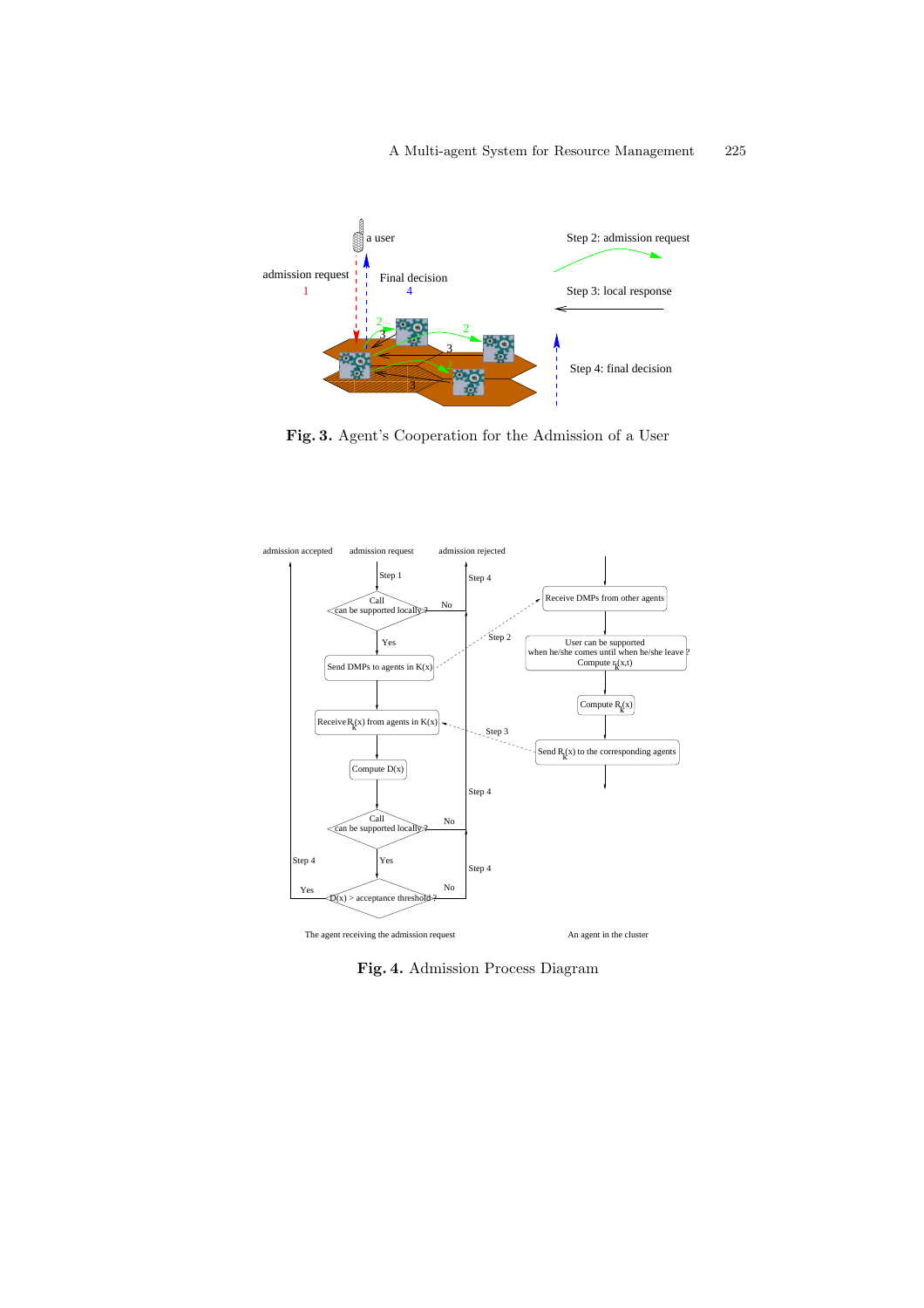

<span id="page-7-0"></span>**Fig. 3.** Agent's Cooperation for the Admission of a User



<span id="page-7-1"></span>The agent receiving the admission request An agent in the cluster

**Fig. 4.** Admission Process Diagram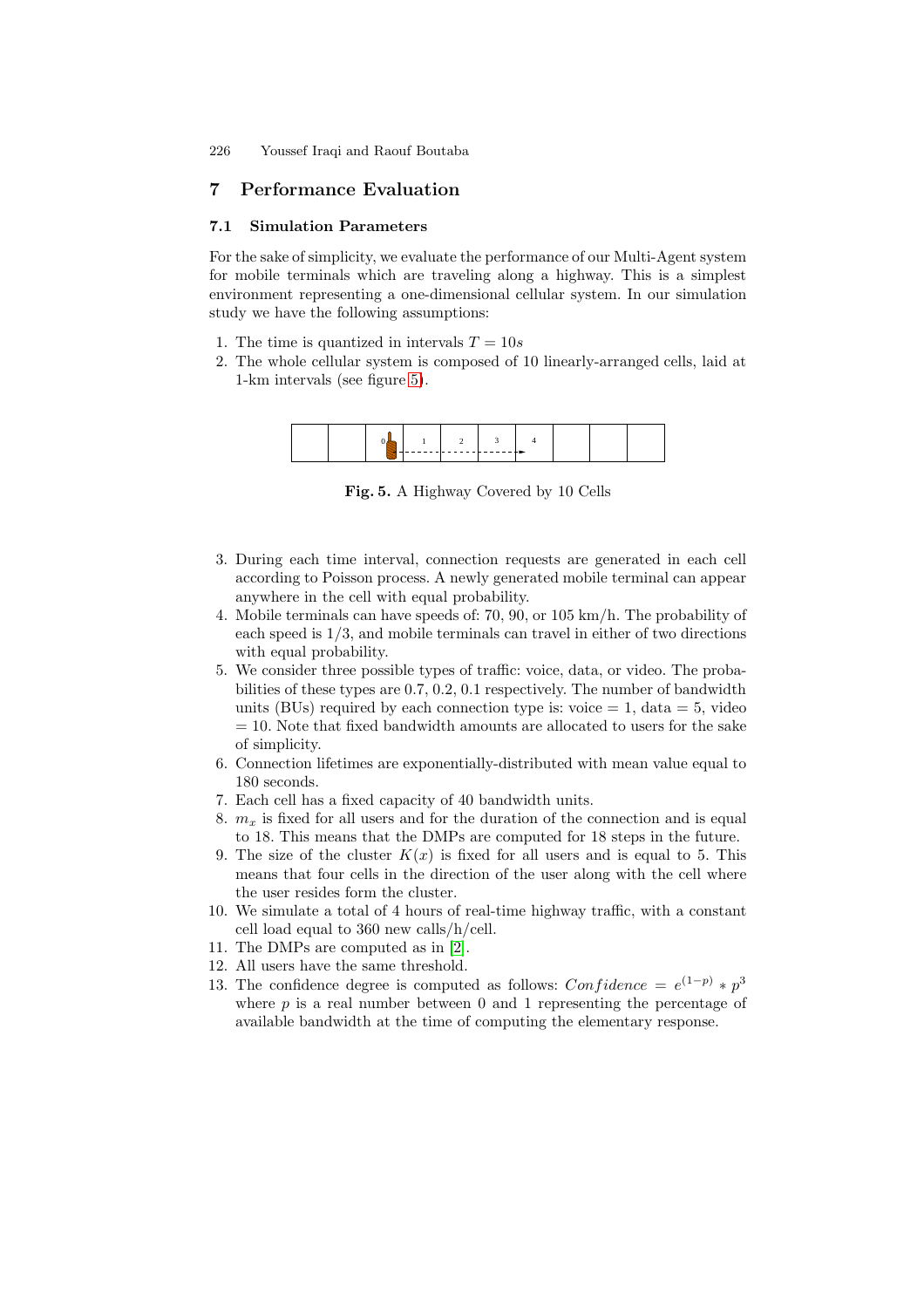# **7 Performance Evaluation**

### **7.1 Simulation Parameters**

For the sake of simplicity, we evaluate the performance of our Multi-Agent system for mobile terminals which are traveling along a highway. This is a simplest environment representing a one-dimensional cellular system. In our simulation study we have the following assumptions:

- 1. The time is quantized in intervals  $T = 10s$
- 2. The whole cellular system is composed of 10 linearly-arranged cells, laid at 1-km intervals (see figure [5\)](#page-8-0).



<span id="page-8-0"></span>**Fig. 5.** A Highway Covered by 10 Cells

- 3. During each time interval, connection requests are generated in each cell according to Poisson process. A newly generated mobile terminal can appear anywhere in the cell with equal probability.
- 4. Mobile terminals can have speeds of: 70, 90, or 105 km/h. The probability of each speed is 1/3, and mobile terminals can travel in either of two directions with equal probability.
- 5. We consider three possible types of traffic: voice, data, or video. The probabilities of these types are 0.7, 0.2, 0.1 respectively. The number of bandwidth units (BUs) required by each connection type is: voice  $= 1$ , data  $= 5$ , video  $= 10$ . Note that fixed bandwidth amounts are allocated to users for the sake of simplicity.
- 6. Connection lifetimes are exponentially-distributed with mean value equal to 180 seconds.
- 7. Each cell has a fixed capacity of 40 bandwidth units.
- 8.  $m_x$  is fixed for all users and for the duration of the connection and is equal to 18. This means that the DMPs are computed for 18 steps in the future.
- 9. The size of the cluster  $K(x)$  is fixed for all users and is equal to 5. This means that four cells in the direction of the user along with the cell where the user resides form the cluster.
- 10. We simulate a total of 4 hours of real-time highway traffic, with a constant cell load equal to 360 new calls/h/cell.
- 11. The DMPs are computed as in [\[2\]](#page-10-0).
- 12. All users have the same threshold.
- 13. The confidence degree is computed as follows:  $Confidence = e^{(1-p)} * p^3$ where  $p$  is a real number between 0 and 1 representing the percentage of available bandwidth at the time of computing the elementary response.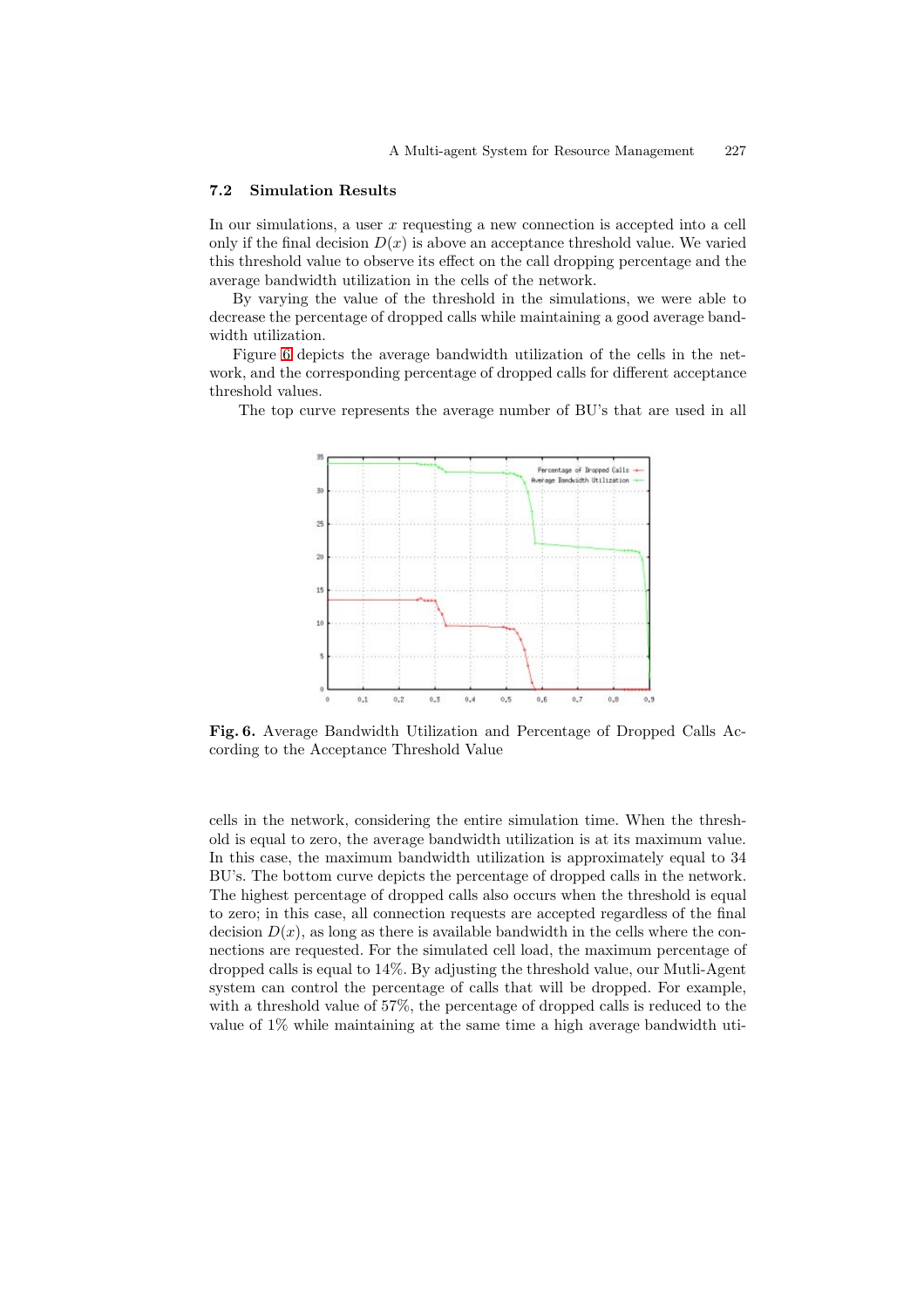#### **7.2 Simulation Results**

In our simulations, a user  $x$  requesting a new connection is accepted into a cell only if the final decision  $D(x)$  is above an acceptance threshold value. We varied this threshold value to observe its effect on the call dropping percentage and the average bandwidth utilization in the cells of the network.

By varying the value of the threshold in the simulations, we were able to decrease the percentage of dropped calls while maintaining a good average bandwidth utilization.

Figure [6](#page-9-0) depicts the average bandwidth utilization of the cells in the network, and the corresponding percentage of dropped calls for different acceptance threshold values.

The top curve represents the average number of BU's that are used in all



<span id="page-9-0"></span>**Fig. 6.** Average Bandwidth Utilization and Percentage of Dropped Calls According to the Acceptance Threshold Value

cells in the network, considering the entire simulation time. When the threshold is equal to zero, the average bandwidth utilization is at its maximum value. In this case, the maximum bandwidth utilization is approximately equal to 34 BU's. The bottom curve depicts the percentage of dropped calls in the network. The highest percentage of dropped calls also occurs when the threshold is equal to zero; in this case, all connection requests are accepted regardless of the final decision  $D(x)$ , as long as there is available bandwidth in the cells where the connections are requested. For the simulated cell load, the maximum percentage of dropped calls is equal to 14%. By adjusting the threshold value, our Mutli-Agent system can control the percentage of calls that will be dropped. For example, with a threshold value of 57%, the percentage of dropped calls is reduced to the value of 1% while maintaining at the same time a high average bandwidth uti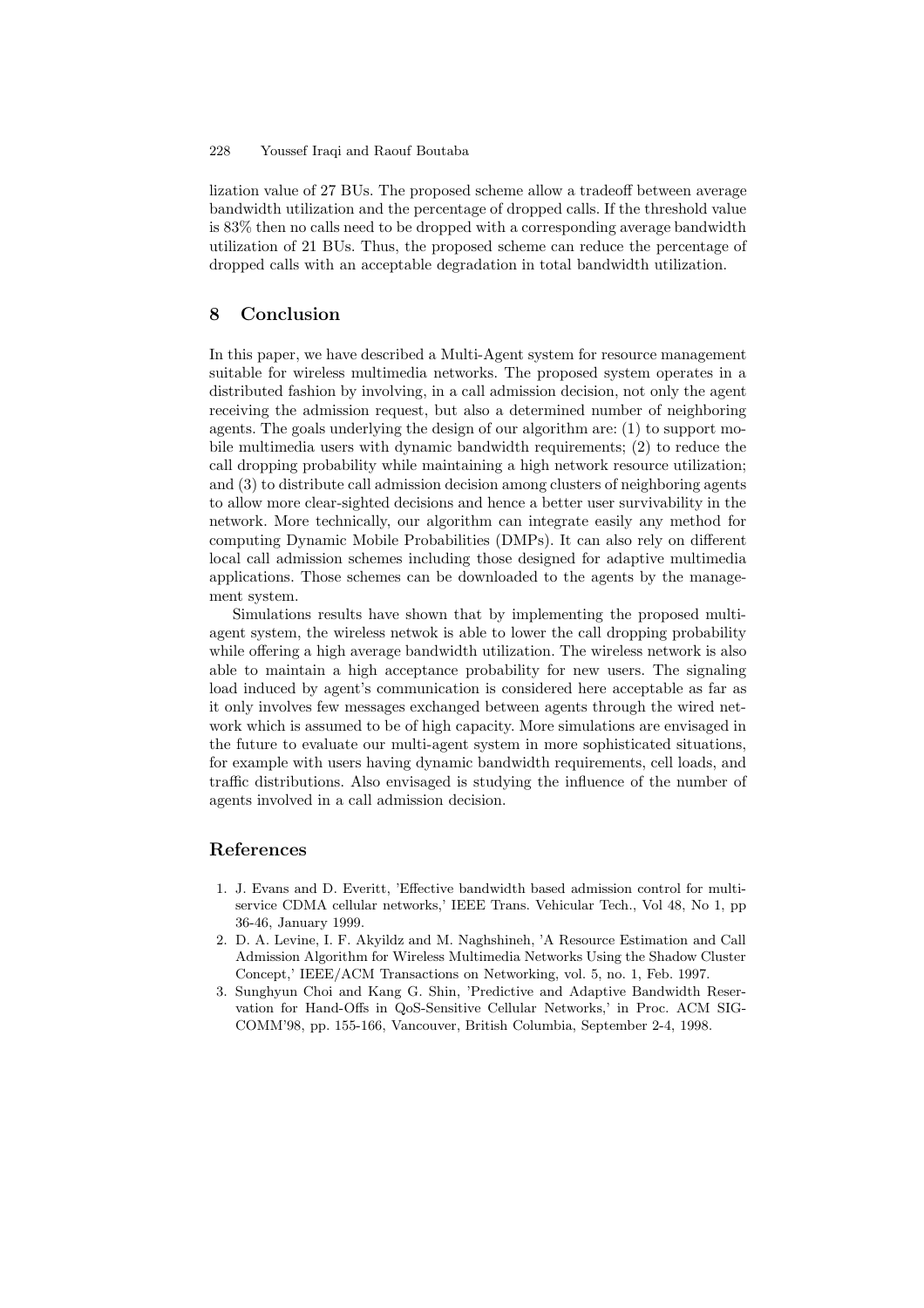lization value of 27 BUs. The proposed scheme allow a tradeoff between average bandwidth utilization and the percentage of dropped calls. If the threshold value is 83% then no calls need to be dropped with a corresponding average bandwidth utilization of 21 BUs. Thus, the proposed scheme can reduce the percentage of dropped calls with an acceptable degradation in total bandwidth utilization.

## **8 Conclusion**

In this paper, we have described a Multi-Agent system for resource management suitable for wireless multimedia networks. The proposed system operates in a distributed fashion by involving, in a call admission decision, not only the agent receiving the admission request, but also a determined number of neighboring agents. The goals underlying the design of our algorithm are: (1) to support mobile multimedia users with dynamic bandwidth requirements; (2) to reduce the call dropping probability while maintaining a high network resource utilization; and (3) to distribute call admission decision among clusters of neighboring agents to allow more clear-sighted decisions and hence a better user survivability in the network. More technically, our algorithm can integrate easily any method for computing Dynamic Mobile Probabilities (DMPs). It can also rely on different local call admission schemes including those designed for adaptive multimedia applications. Those schemes can be downloaded to the agents by the management system.

Simulations results have shown that by implementing the proposed multiagent system, the wireless netwok is able to lower the call dropping probability while offering a high average bandwidth utilization. The wireless network is also able to maintain a high acceptance probability for new users. The signaling load induced by agent's communication is considered here acceptable as far as it only involves few messages exchanged between agents through the wired network which is assumed to be of high capacity. More simulations are envisaged in the future to evaluate our multi-agent system in more sophisticated situations, for example with users having dynamic bandwidth requirements, cell loads, and traffic distributions. Also envisaged is studying the influence of the number of agents involved in a call admission decision.

# <span id="page-10-2"></span>**References**

- 1. J. Evans and D. Everitt, 'Effective bandwidth based admission control for multiservice CDMA cellular networks,' IEEE Trans. Vehicular Tech., Vol 48, No 1, pp 36-46, January 1999.
- <span id="page-10-0"></span>2. D. A. Levine, I. F. Akyildz and M. Naghshineh, 'A Resource Estimation and Call Admission Algorithm for Wireless Multimedia Networks Using the Shadow Cluster Concept,' IEEE/ACM Transactions on Networking, vol. 5, no. 1, Feb. 1997.
- <span id="page-10-1"></span>3. Sunghyun Choi and Kang G. Shin, 'Predictive and Adaptive Bandwidth Reservation for Hand-Offs in QoS-Sensitive Cellular Networks,' in Proc. ACM SIG-COMM'98, pp. 155-166, Vancouver, British Columbia, September 2-4, 1998.